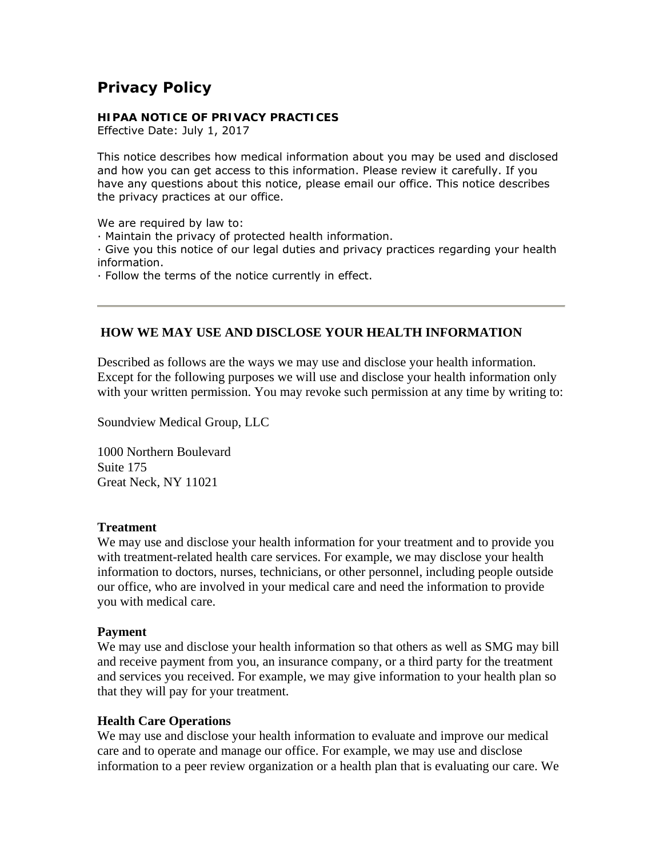# **Privacy Policy**

#### **HIPAA NOTICE OF PRIVACY PRACTICES**

Effective Date: July 1, 2017

This notice describes how medical information about you may be used and disclosed and how you can get access to this information. Please review it carefully. If you have any questions about this notice, please email our office. This notice describes the privacy practices at our office.

We are required by law to:

· Maintain the privacy of protected health information.

· Give you this notice of our legal duties and privacy practices regarding your health information.

· Follow the terms of the notice currently in effect.

## **HOW WE MAY USE AND DISCLOSE YOUR HEALTH INFORMATION**

Described as follows are the ways we may use and disclose your health information. Except for the following purposes we will use and disclose your health information only with your written permission. You may revoke such permission at any time by writing to:

Soundview Medical Group, LLC

1000 Northern Boulevard Suite 175 Great Neck, NY 11021

## **Treatment**

We may use and disclose your health information for your treatment and to provide you with treatment-related health care services. For example, we may disclose your health information to doctors, nurses, technicians, or other personnel, including people outside our office, who are involved in your medical care and need the information to provide you with medical care.

## **Payment**

We may use and disclose your health information so that others as well as SMG may bill and receive payment from you, an insurance company, or a third party for the treatment and services you received. For example, we may give information to your health plan so that they will pay for your treatment.

## **Health Care Operations**

We may use and disclose your health information to evaluate and improve our medical care and to operate and manage our office. For example, we may use and disclose information to a peer review organization or a health plan that is evaluating our care. We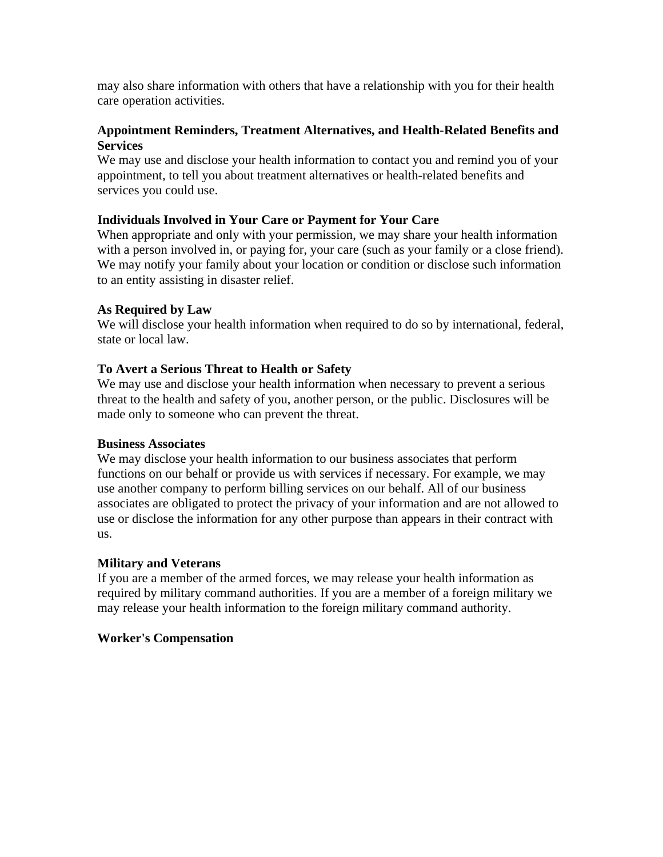may also share information with others that have a relationship with you for their health care operation activities.

# **Appointment Reminders, Treatment Alternatives, and Health-Related Benefits and Services**

We may use and disclose your health information to contact you and remind you of your appointment, to tell you about treatment alternatives or health-related benefits and services you could use.

# **Individuals Involved in Your Care or Payment for Your Care**

When appropriate and only with your permission, we may share your health information with a person involved in, or paying for, your care (such as your family or a close friend). We may notify your family about your location or condition or disclose such information to an entity assisting in disaster relief.

# **As Required by Law**

We will disclose your health information when required to do so by international, federal, state or local law.

# **To Avert a Serious Threat to Health or Safety**

We may use and disclose your health information when necessary to prevent a serious threat to the health and safety of you, another person, or the public. Disclosures will be made only to someone who can prevent the threat.

# **Business Associates**

We may disclose your health information to our business associates that perform functions on our behalf or provide us with services if necessary. For example, we may use another company to perform billing services on our behalf. All of our business associates are obligated to protect the privacy of your information and are not allowed to use or disclose the information for any other purpose than appears in their contract with us.

# **Military and Veterans**

If you are a member of the armed forces, we may release your health information as required by military command authorities. If you are a member of a foreign military we may release your health information to the foreign military command authority.

## **Worker's Compensation**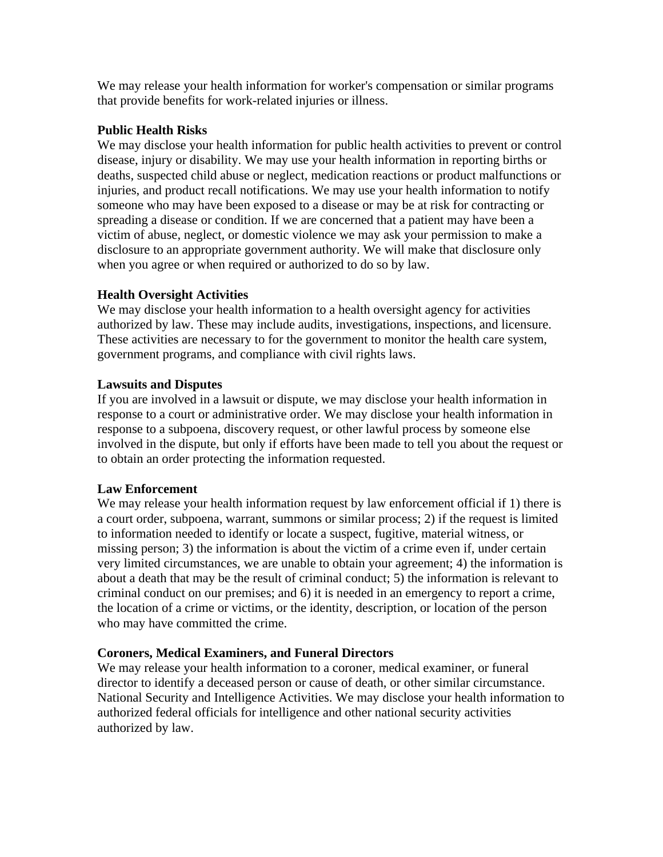We may release your health information for worker's compensation or similar programs that provide benefits for work-related injuries or illness.

## **Public Health Risks**

We may disclose your health information for public health activities to prevent or control disease, injury or disability. We may use your health information in reporting births or deaths, suspected child abuse or neglect, medication reactions or product malfunctions or injuries, and product recall notifications. We may use your health information to notify someone who may have been exposed to a disease or may be at risk for contracting or spreading a disease or condition. If we are concerned that a patient may have been a victim of abuse, neglect, or domestic violence we may ask your permission to make a disclosure to an appropriate government authority. We will make that disclosure only when you agree or when required or authorized to do so by law.

# **Health Oversight Activities**

We may disclose your health information to a health oversight agency for activities authorized by law. These may include audits, investigations, inspections, and licensure. These activities are necessary to for the government to monitor the health care system, government programs, and compliance with civil rights laws.

## **Lawsuits and Disputes**

If you are involved in a lawsuit or dispute, we may disclose your health information in response to a court or administrative order. We may disclose your health information in response to a subpoena, discovery request, or other lawful process by someone else involved in the dispute, but only if efforts have been made to tell you about the request or to obtain an order protecting the information requested.

# **Law Enforcement**

We may release your health information request by law enforcement official if 1) there is a court order, subpoena, warrant, summons or similar process; 2) if the request is limited to information needed to identify or locate a suspect, fugitive, material witness, or missing person; 3) the information is about the victim of a crime even if, under certain very limited circumstances, we are unable to obtain your agreement; 4) the information is about a death that may be the result of criminal conduct; 5) the information is relevant to criminal conduct on our premises; and 6) it is needed in an emergency to report a crime, the location of a crime or victims, or the identity, description, or location of the person who may have committed the crime.

# **Coroners, Medical Examiners, and Funeral Directors**

We may release your health information to a coroner, medical examiner, or funeral director to identify a deceased person or cause of death, or other similar circumstance. National Security and Intelligence Activities. We may disclose your health information to authorized federal officials for intelligence and other national security activities authorized by law.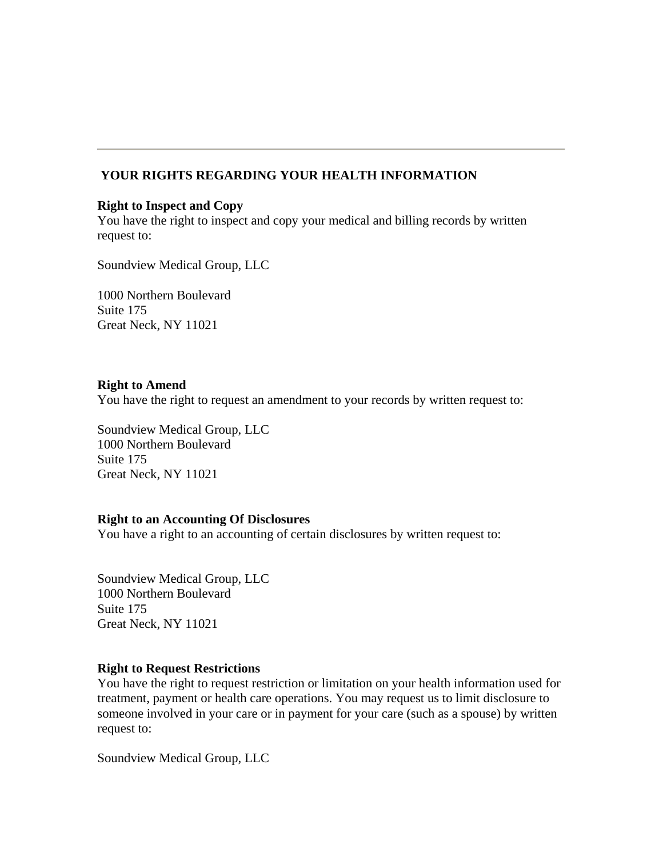# **YOUR RIGHTS REGARDING YOUR HEALTH INFORMATION**

#### **Right to Inspect and Copy**

You have the right to inspect and copy your medical and billing records by written request to:

Soundview Medical Group, LLC

1000 Northern Boulevard Suite 175 Great Neck, NY 11021

#### **Right to Amend**

You have the right to request an amendment to your records by written request to:

Soundview Medical Group, LLC 1000 Northern Boulevard Suite 175 Great Neck, NY 11021

#### **Right to an Accounting Of Disclosures**

You have a right to an accounting of certain disclosures by written request to:

Soundview Medical Group, LLC 1000 Northern Boulevard Suite 175 Great Neck, NY 11021

## **Right to Request Restrictions**

You have the right to request restriction or limitation on your health information used for treatment, payment or health care operations. You may request us to limit disclosure to someone involved in your care or in payment for your care (such as a spouse) by written request to:

Soundview Medical Group, LLC